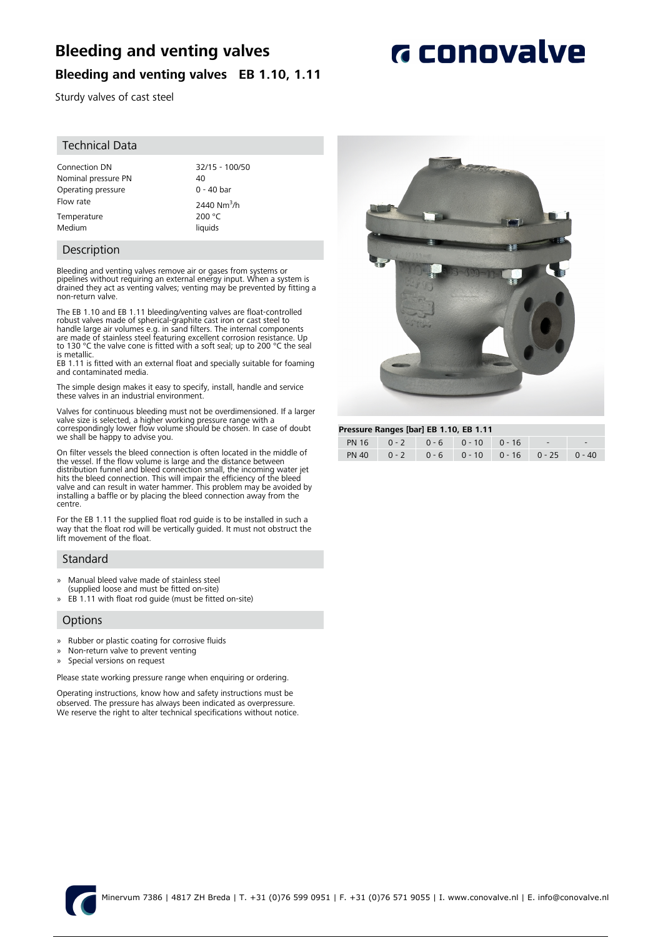# **Bleeding and venting valves**

**Bleeding and venting valves EB 1.10, 1.11**

# **G** conovalve

# Sturdy valves of cast steel

## Technical Data

Connection DN 32/15 - 100/50 Nominal pressure PN 40 Operating pressure 0 - 40 bar Flow rate  $2440 \text{ Nm}^3/h$ Temperature 200 °C

Medium liquids

## Description

Bleeding and venting valves remove air or gases from systems or pipelines without requiring an external energy input. When a system is drained they act as venting valves; venting may be prevented by fitting a non-return valve.

The EB 1.10 and EB 1.11 bleeding/venting valves are float-controlled robust valves made of spherical-graphite cast iron or cast steel to<br>handle large air volumes e.g. in sand filters. The internal components<br>are made of stainless steel featuring excellent corrosion resistance. Up<br>to 130 °C is metallic.

EB 1.11 is fitted with an external float and specially suitable for foaming and contaminated media.

The simple design makes it easy to specify, install, handle and service these valves in an industrial environment.

Valves for continuous bleeding must not be overdimensioned. If a larger valve size is selected, a higher working pressure range with a correspondingly lower flow volume should be chosen. In case of doubt we shall be happy to advise you.

On filter vessels the bleed connection is often located in the middle of the vessel. If the flow volume is large and the distance between distribution funnel and bleed connection small, the incoming water jet hits the bleed connection. This will impair the efficiency of the bleed valve and can result in water hammer. This problem may be avoided by installing a baffle or by placing the bleed connection away from the centre.

For the EB 1.11 the supplied float rod guide is to be installed in such a way that the float rod will be vertically guided. It must not obstruct the lift movement of the float.

## Standard

- » Manual bleed valve made of stainless steel
- (supplied loose and must be fitted on-site) » EB 1.11 with float rod guide (must be fitted on-site)

## **Options**

- » Rubber or plastic coating for corrosive fluids
- » Non-return valve to prevent venting
- » Special versions on request

Please state working pressure range when enquiring or ordering.

Operating instructions, know how and safety instructions must be observed. The pressure has always been indicated as overpressure. We reserve the right to alter technical specifications without notice.



#### **Pressure Ranges [bar] EB 1.10, EB 1.11**

| PN 16 0 - 2 0 - 6 0 - 10 0 - 16 -             | $1.1233$ and named partless in $9/12$ |  |  |  |  |  |  |  |  |  |
|-----------------------------------------------|---------------------------------------|--|--|--|--|--|--|--|--|--|
|                                               |                                       |  |  |  |  |  |  |  |  |  |
| PN 40 0 - 2 0 - 6 0 - 10 0 - 16 0 - 25 0 - 40 |                                       |  |  |  |  |  |  |  |  |  |

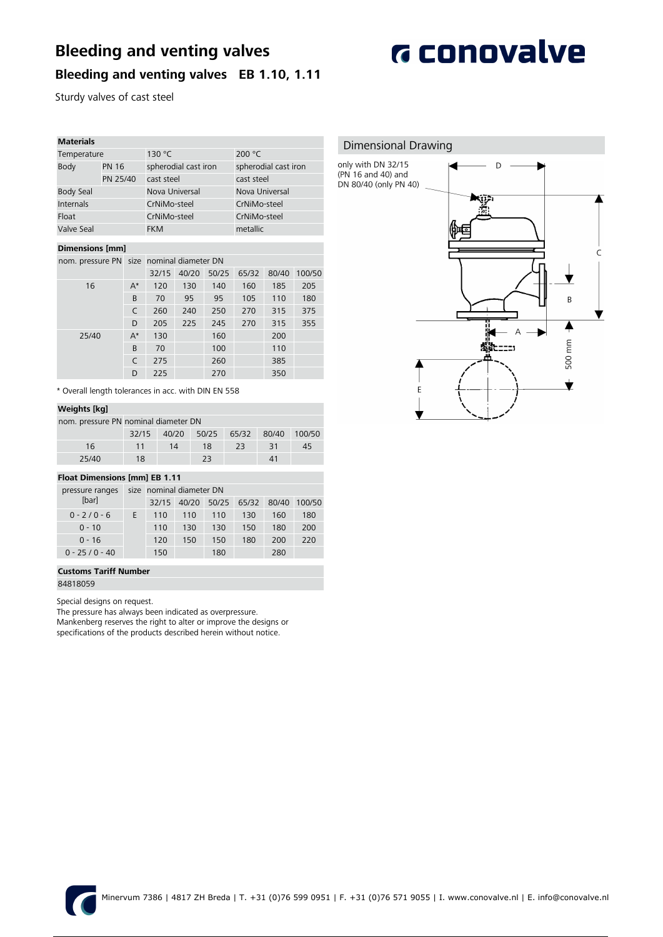# **Bleeding and venting valves**



# **Bleeding and venting valves EB 1.10, 1.11**

Sturdy valves of cast steel

| <b>Materials</b> |              |                      |                      |  |
|------------------|--------------|----------------------|----------------------|--|
| Temperature      |              | 130 °C               | 200 $°C$             |  |
| Body             | <b>PN 16</b> | spherodial cast iron | spherodial cast iron |  |
| PN 25/40         |              | cast steel           | cast steel           |  |
| <b>Body Seal</b> |              | Nova Universal       | Nova Universal       |  |
| Internals        |              | CrNiMo-steel         | CrNiMo-steel         |  |
| Float            |              | CrNiMo-steel         | CrNiMo-steel         |  |
| Valve Seal       |              | <b>FKM</b>           | metallic             |  |
|                  |              |                      |                      |  |

### **Dimensions [mm]**

nom. pressure PN size nominal diameter DN

|       |       | 32/15 | 40/20 | 50/25 | 65/32 | 80/40 | 100/50 |
|-------|-------|-------|-------|-------|-------|-------|--------|
| 16    | $A^*$ | 120   | 130   | 140   | 160   | 185   | 205    |
|       | B     | 70    | 95    | 95    | 105   | 110   | 180    |
|       | C     | 260   | 240   | 250   | 270   | 315   | 375    |
|       | D     | 205   | 225   | 245   | 270   | 315   | 355    |
| 25/40 | $A^*$ | 130   |       | 160   |       | 200   |        |
|       | B     | 70    |       | 100   |       | 110   |        |
|       | C     | 275   |       | 260   |       | 385   |        |
|       | D     | 225   |       | 270   |       | 350   |        |

\* Overall length tolerances in acc. with DIN EN 558

## **Weights [kg]**

|       | nom. pressure PN nominal diameter DN |    |       |    |                    |    |  |  |  |
|-------|--------------------------------------|----|-------|----|--------------------|----|--|--|--|
|       | 32/15 40/20                          |    | 50/25 |    | 65/32 80/40 100/50 |    |  |  |  |
| 16    | 11                                   | 14 | 18    | 23 | 31                 | 45 |  |  |  |
| 25/40 | 18                                   |    | 23    |    | $\Delta$ 1         |    |  |  |  |

## **Float Dimensions [mm] EB 1.11**

| pressure ranges |   | size nominal diameter DN |       |       |       |       |        |  |
|-----------------|---|--------------------------|-------|-------|-------|-------|--------|--|
| <b>Ibarl</b>    |   | 32/15                    | 40/20 | 50/25 | 65/32 | 80/40 | 100/50 |  |
| $0 - 2/0 - 6$   | F | 110                      | 110   | 110   | 130   | 160   | 180    |  |
| $0 - 10$        |   | 110                      | 130   | 130   | 150   | 180   | 200    |  |
| $0 - 16$        |   | 120                      | 150   | 150   | 180   | 200   | 220    |  |
| $0 - 25/0 - 40$ |   | 150                      |       | 180   |       | 280   |        |  |

#### **Customs Tariff Number**

84818059

Special designs on request.

The pressure has always been indicated as overpressure.

Mankenberg reserves the right to alter or improve the designs or specifications of the products described herein without notice.

# Dimensional Drawing